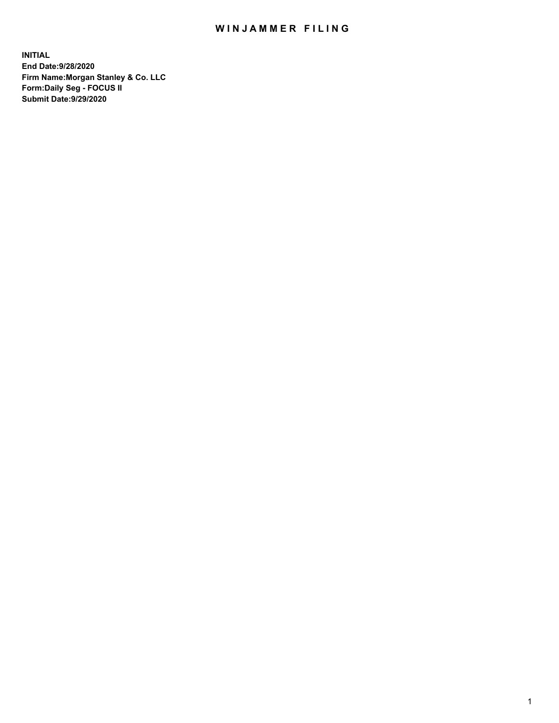## WIN JAMMER FILING

**INITIAL End Date:9/28/2020 Firm Name:Morgan Stanley & Co. LLC Form:Daily Seg - FOCUS II Submit Date:9/29/2020**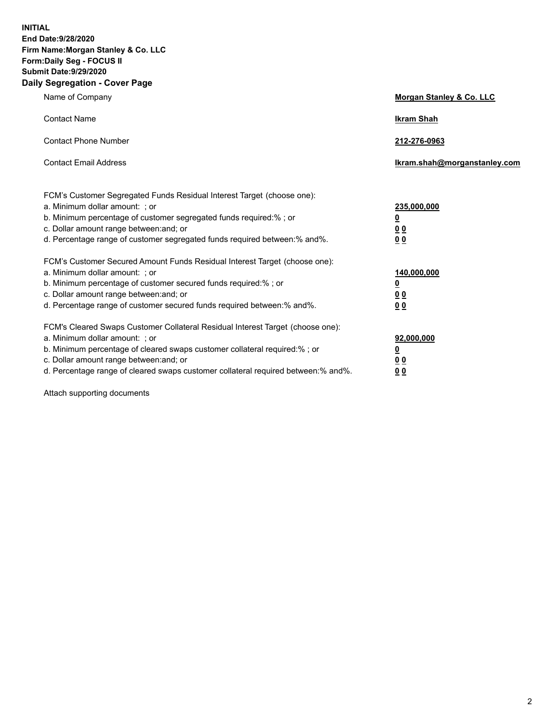**INITIAL End Date:9/28/2020 Firm Name:Morgan Stanley & Co. LLC Form:Daily Seg - FOCUS II Submit Date:9/29/2020 Daily Segregation - Cover Page**

| Name of Company                                                                   | Morgan Stanley & Co. LLC     |
|-----------------------------------------------------------------------------------|------------------------------|
| <b>Contact Name</b>                                                               | <b>Ikram Shah</b>            |
| <b>Contact Phone Number</b>                                                       | 212-276-0963                 |
| <b>Contact Email Address</b>                                                      | Ikram.shah@morganstanley.com |
| FCM's Customer Segregated Funds Residual Interest Target (choose one):            |                              |
| a. Minimum dollar amount: ; or                                                    | 235,000,000                  |
| b. Minimum percentage of customer segregated funds required:%; or                 | <u>0</u>                     |
| c. Dollar amount range between: and; or                                           | 0 <sub>0</sub>               |
| d. Percentage range of customer segregated funds required between: % and %.       | 0 <sub>0</sub>               |
| FCM's Customer Secured Amount Funds Residual Interest Target (choose one):        |                              |
| a. Minimum dollar amount: ; or                                                    | 140,000,000                  |
| b. Minimum percentage of customer secured funds required:%; or                    | <u>0</u>                     |
| c. Dollar amount range between: and; or                                           | <u>00</u>                    |
| d. Percentage range of customer secured funds required between:% and%.            | 0 <sub>0</sub>               |
| FCM's Cleared Swaps Customer Collateral Residual Interest Target (choose one):    |                              |
| a. Minimum dollar amount: ; or                                                    | 92,000,000                   |
| b. Minimum percentage of cleared swaps customer collateral required:% ; or        | <u>0</u>                     |
| c. Dollar amount range between: and; or                                           | <u>00</u>                    |
| d. Percentage range of cleared swaps customer collateral required between:% and%. | 00                           |

Attach supporting documents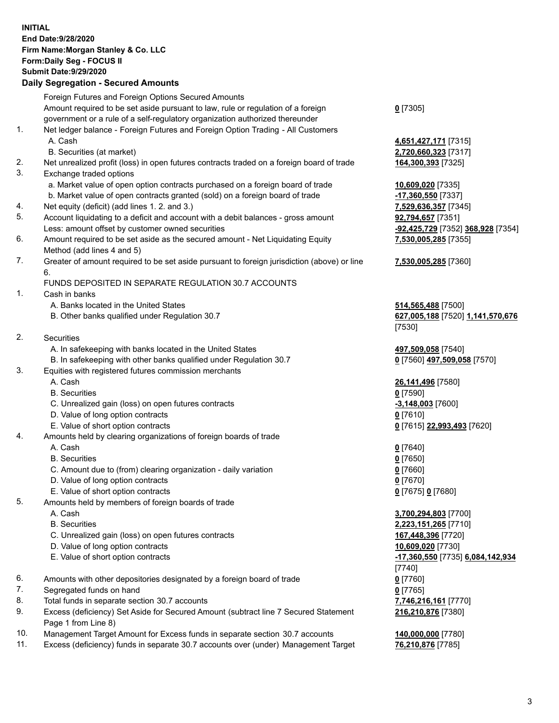## **INITIAL End Date:9/28/2020 Firm Name:Morgan Stanley & Co. LLC Form:Daily Seg - FOCUS II Submit Date:9/29/2020**

## **Daily Segregation - Secured Amounts**

|    | Foreign Futures and Foreign Options Secured Amounts                                         |                                   |
|----|---------------------------------------------------------------------------------------------|-----------------------------------|
|    | Amount required to be set aside pursuant to law, rule or regulation of a foreign            | $0$ [7305]                        |
|    | government or a rule of a self-regulatory organization authorized thereunder                |                                   |
| 1. | Net ledger balance - Foreign Futures and Foreign Option Trading - All Customers             |                                   |
|    | A. Cash                                                                                     | 4,651,427,171 [7315]              |
|    | B. Securities (at market)                                                                   | 2,720,660,323 [7317]              |
| 2. | Net unrealized profit (loss) in open futures contracts traded on a foreign board of trade   | 164,300,393 [7325]                |
| 3. | Exchange traded options                                                                     |                                   |
|    | a. Market value of open option contracts purchased on a foreign board of trade              | 10,609,020 [7335]                 |
|    | b. Market value of open contracts granted (sold) on a foreign board of trade                | -17,360,550 [7337]                |
| 4. | Net equity (deficit) (add lines 1.2. and 3.)                                                | 7,529,636,357 [7345]              |
| 5. | Account liquidating to a deficit and account with a debit balances - gross amount           | 92,794,657 [7351]                 |
|    | Less: amount offset by customer owned securities                                            | -92,425,729 [7352] 368,928 [7354] |
| 6. | Amount required to be set aside as the secured amount - Net Liquidating Equity              | 7,530,005,285 [7355]              |
|    | Method (add lines 4 and 5)                                                                  |                                   |
| 7. | Greater of amount required to be set aside pursuant to foreign jurisdiction (above) or line | 7,530,005,285 [7360]              |
|    | 6.                                                                                          |                                   |
|    | FUNDS DEPOSITED IN SEPARATE REGULATION 30.7 ACCOUNTS                                        |                                   |
| 1. | Cash in banks                                                                               |                                   |
|    | A. Banks located in the United States                                                       | 514,565,488 [7500]                |
|    | B. Other banks qualified under Regulation 30.7                                              | 627,005,188 [7520] 1,141,570,676  |
|    |                                                                                             | [7530]                            |
| 2. | Securities                                                                                  |                                   |
|    | A. In safekeeping with banks located in the United States                                   | 497,509,058 [7540]                |
|    | B. In safekeeping with other banks qualified under Regulation 30.7                          | 0 [7560] 497,509,058 [7570]       |
| 3. | Equities with registered futures commission merchants                                       |                                   |
|    | A. Cash                                                                                     | 26,141,496 [7580]                 |
|    | <b>B.</b> Securities                                                                        | $0$ [7590]                        |
|    | C. Unrealized gain (loss) on open futures contracts                                         | $-3,148,003$ [7600]               |
|    | D. Value of long option contracts                                                           | <u>0</u> [7610]                   |
|    | E. Value of short option contracts                                                          | 0 [7615] 22,993,493 [7620]        |
| 4. | Amounts held by clearing organizations of foreign boards of trade                           |                                   |
|    | A. Cash                                                                                     | $Q$ [7640]                        |
|    | <b>B.</b> Securities                                                                        | $0$ [7650]                        |
|    | C. Amount due to (from) clearing organization - daily variation                             | $0$ [7660]                        |
|    | D. Value of long option contracts                                                           | $0$ [7670]                        |
|    | E. Value of short option contracts                                                          | 0 [7675] 0 [7680]                 |
| 5. | Amounts held by members of foreign boards of trade                                          |                                   |
|    | A. Cash                                                                                     | 3,700,294,803 [7700]              |
|    | <b>B.</b> Securities                                                                        | 2,223,151,265 [7710]              |
|    | C. Unrealized gain (loss) on open futures contracts                                         | 167,448,396 [7720]                |
|    | D. Value of long option contracts                                                           | 10,609,020 [7730]                 |
|    | E. Value of short option contracts                                                          | -17,360,550 [7735] 6,084,142,934  |
|    |                                                                                             | [7740]                            |
| 6. | Amounts with other depositories designated by a foreign board of trade                      | $0$ [7760]                        |
| 7. | Segregated funds on hand                                                                    | $0$ [7765]                        |
| 8. | Total funds in separate section 30.7 accounts                                               | 7,746,216,161 [7770]              |
| 9. | Excess (deficiency) Set Aside for Secured Amount (subtract line 7 Secured Statement         | 216,210,876 [7380]                |
|    | Page 1 from Line 8)                                                                         |                                   |
|    |                                                                                             |                                   |

- 10. Management Target Amount for Excess funds in separate section 30.7 accounts **140,000,000** [7780]
- 11. Excess (deficiency) funds in separate 30.7 accounts over (under) Management Target **76,210,876** [7785]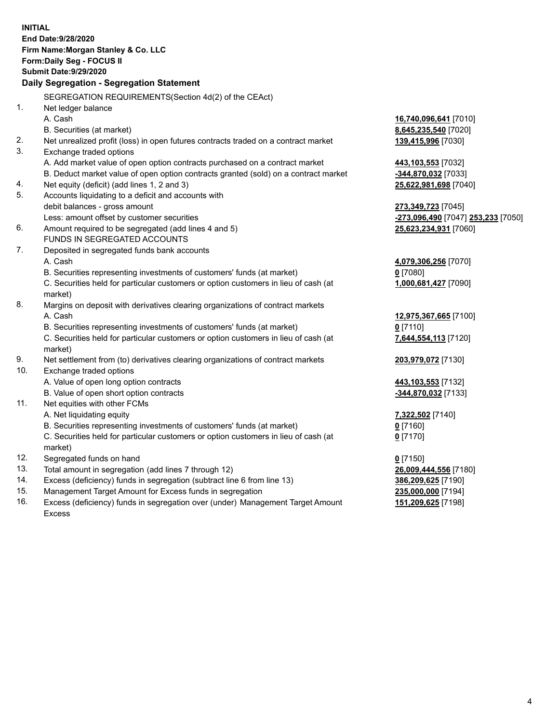|     | <b>INITIAL</b>                                                                             |                                    |
|-----|--------------------------------------------------------------------------------------------|------------------------------------|
|     | End Date: 9/28/2020                                                                        |                                    |
|     | Firm Name: Morgan Stanley & Co. LLC                                                        |                                    |
|     | Form: Daily Seg - FOCUS II                                                                 |                                    |
|     | <b>Submit Date: 9/29/2020</b>                                                              |                                    |
|     | Daily Segregation - Segregation Statement                                                  |                                    |
|     | SEGREGATION REQUIREMENTS(Section 4d(2) of the CEAct)                                       |                                    |
| 1.  | Net ledger balance                                                                         |                                    |
|     | A. Cash                                                                                    | 16,740,096,641 [7010]              |
|     | B. Securities (at market)                                                                  | 8,645,235,540 [7020]               |
| 2.  | Net unrealized profit (loss) in open futures contracts traded on a contract market         | 139,415,996 [7030]                 |
| 3.  | Exchange traded options                                                                    |                                    |
|     | A. Add market value of open option contracts purchased on a contract market                | 443,103,553 [7032]                 |
|     | B. Deduct market value of open option contracts granted (sold) on a contract market        | -344,870,032 [7033]                |
| 4.  | Net equity (deficit) (add lines 1, 2 and 3)                                                | 25,622,981,698 [7040]              |
| 5.  | Accounts liquidating to a deficit and accounts with                                        |                                    |
|     | debit balances - gross amount                                                              | 273,349,723 [7045]                 |
|     | Less: amount offset by customer securities                                                 | -273,096,490 [7047] 253,233 [7050] |
| 6.  | Amount required to be segregated (add lines 4 and 5)                                       | 25,623,234,931 [7060]              |
|     | FUNDS IN SEGREGATED ACCOUNTS                                                               |                                    |
| 7.  | Deposited in segregated funds bank accounts                                                |                                    |
|     | A. Cash                                                                                    | 4,079,306,256 [7070]               |
|     | B. Securities representing investments of customers' funds (at market)                     | $0$ [7080]                         |
|     | C. Securities held for particular customers or option customers in lieu of cash (at        | 1,000,681,427 [7090]               |
|     | market)                                                                                    |                                    |
| 8.  | Margins on deposit with derivatives clearing organizations of contract markets             |                                    |
|     | A. Cash                                                                                    | 12,975,367,665 [7100]              |
|     | B. Securities representing investments of customers' funds (at market)                     | $0$ [7110]                         |
|     | C. Securities held for particular customers or option customers in lieu of cash (at        | 7,644,554,113 [7120]               |
| 9.  | market)<br>Net settlement from (to) derivatives clearing organizations of contract markets | 203,979,072 [7130]                 |
| 10. | Exchange traded options                                                                    |                                    |
|     | A. Value of open long option contracts                                                     | 443,103,553 [7132]                 |
|     | B. Value of open short option contracts                                                    | -344,870,032 [7133]                |
| 11. | Net equities with other FCMs                                                               |                                    |
|     | A. Net liquidating equity                                                                  | 7,322,502 [7140]                   |
|     | B. Securities representing investments of customers' funds (at market)                     | $0$ [7160]                         |
|     | C. Securities held for particular customers or option customers in lieu of cash (at        | $0$ [7170]                         |
|     | market)                                                                                    |                                    |
| 12. | Segregated funds on hand                                                                   | $0$ [7150]                         |
| 13. | Total amount in segregation (add lines 7 through 12)                                       | 26,009,444,556 [7180]              |
| 14. | Excess (deficiency) funds in segregation (subtract line 6 from line 13)                    | 386,209,625 [7190]                 |
| 15. | Management Target Amount for Excess funds in segregation                                   | 235,000,000 [7194]                 |
|     |                                                                                            |                                    |

16. Excess (deficiency) funds in segregation over (under) Management Target Amount Excess

**151,209,625** [7198]